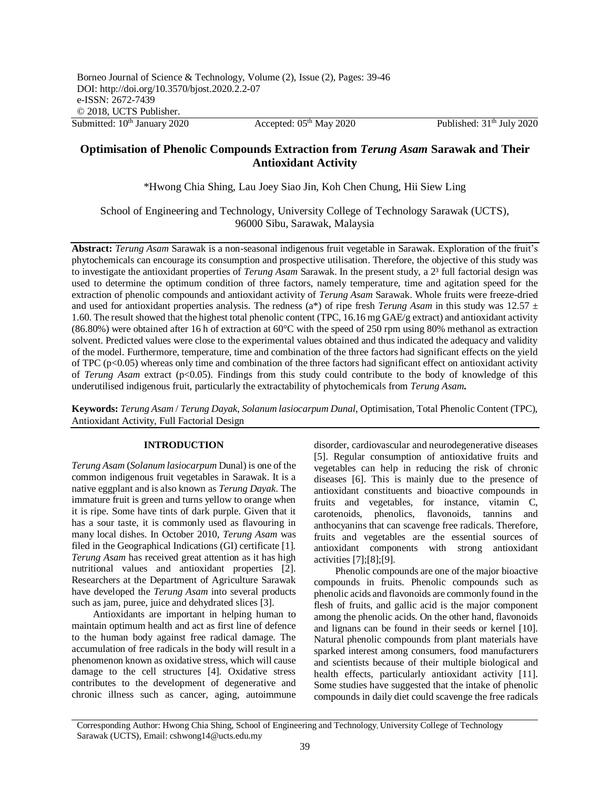# **Optimisation of Phenolic Compounds Extraction from** *Terung Asam* **Sarawak and Their Antioxidant Activity**

\*Hwong Chia Shing, Lau Joey Siao Jin, Koh Chen Chung, Hii Siew Ling

School of Engineering and Technology, University College of Technology Sarawak (UCTS), 96000 Sibu, Sarawak, Malaysia

**Abstract:** *Terung Asam* Sarawak is a non-seasonal indigenous fruit vegetable in Sarawak. Exploration of the fruit's phytochemicals can encourage its consumption and prospective utilisation. Therefore, the objective of this study was to investigate the antioxidant properties of *Terung Asam* Sarawak. In the present study, a 2³ full factorial design was used to determine the optimum condition of three factors, namely temperature, time and agitation speed for the extraction of phenolic compounds and antioxidant activity of *Terung Asam* Sarawak. Whole fruits were freeze-dried and used for antioxidant properties analysis. The redness (a\*) of ripe fresh *Terung Asam* in this study was 12.57 ± 1.60. The result showed that the highest total phenolic content (TPC, 16.16 mg GAE/g extract) and antioxidant activity (86.80%) were obtained after 16 h of extraction at 60°C with the speed of 250 rpm using 80% methanol as extraction solvent. Predicted values were close to the experimental values obtained and thus indicated the adequacy and validity of the model. Furthermore, temperature, time and combination of the three factors had significant effects on the yield of TPC ( $p<0.05$ ) whereas only time and combination of the three factors had significant effect on antioxidant activity of *Terung Asam* extract (p<0.05). Findings from this study could contribute to the body of knowledge of this underutilised indigenous fruit, particularly the extractability of phytochemicals from *Terung Asam***.**

**Keywords:** *Terung Asam* / *Terung Dayak*, *Solanum lasiocarpum Dunal*, Optimisation, Total Phenolic Content (TPC), Antioxidant Activity, Full Factorial Design

# **INTRODUCTION**

*Terung Asam* (*Solanum lasiocarpum* Dunal) is one of the common indigenous fruit vegetables in Sarawak. It is a native eggplant and is also known as *Terung Dayak*. The immature fruit is green and turns yellow to orange when it is ripe. Some have tints of dark purple. Given that it has a sour taste, it is commonly used as flavouring in many local dishes. In October 2010, *Terung Asam* was filed in the Geographical Indications (GI) certificate [1]. *Terung Asam* has received great attention as it has high nutritional values and antioxidant properties [2]. Researchers at the Department of Agriculture Sarawak have developed the *Terung Asam* into several products such as jam, puree, juice and dehydrated slices [3].

Antioxidants are important in helping human to maintain optimum health and act as first line of defence to the human body against free radical damage. The accumulation of free radicals in the body will result in a phenomenon known as oxidative stress, which will cause damage to the cell structures [4]. Oxidative stress contributes to the development of degenerative and chronic illness such as cancer, aging, autoimmune

disorder, cardiovascular and neurodegenerative diseases [5]. Regular consumption of antioxidative fruits and vegetables can help in reducing the risk of chronic diseases [6]. This is mainly due to the presence of antioxidant constituents and bioactive compounds in fruits and vegetables, for instance, vitamin C, carotenoids, phenolics, flavonoids, tannins and anthocyanins that can scavenge free radicals. Therefore, fruits and vegetables are the essential sources of antioxidant components with strong antioxidant activities [7];[8];[9].

Phenolic compounds are one of the major bioactive compounds in fruits. Phenolic compounds such as phenolic acids and flavonoids are commonly found in the flesh of fruits, and gallic acid is the major component among the phenolic acids. On the other hand, flavonoids and lignans can be found in their seeds or kernel [10]. Natural phenolic compounds from plant materials have sparked interest among consumers, food manufacturers and scientists because of their multiple biological and health effects, particularly antioxidant activity [11]. Some studies have suggested that the intake of phenolic compounds in daily diet could scavenge the free radicals

Corresponding Author: Hwong Chia Shing, School of Engineering and Technology, University College of Technology Sarawak (UCTS), Email: cshwong14@ucts.edu.my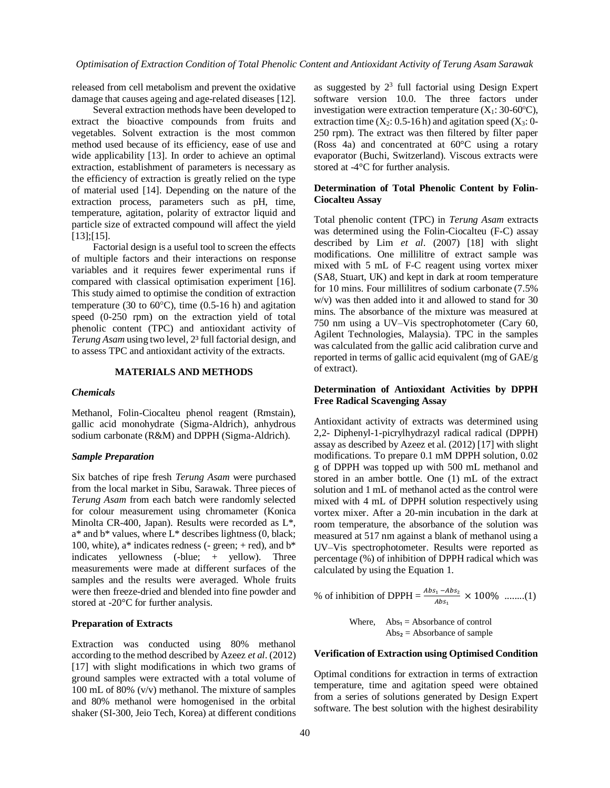released from cell metabolism and prevent the oxidative damage that causes ageing and age-related diseases [12].

Several extraction methods have been developed to extract the bioactive compounds from fruits and vegetables. Solvent extraction is the most common method used because of its efficiency, ease of use and wide applicability [13]. In order to achieve an optimal extraction, establishment of parameters is necessary as the efficiency of extraction is greatly relied on the type of material used [14]. Depending on the nature of the extraction process, parameters such as pH, time, temperature, agitation, polarity of extractor liquid and particle size of extracted compound will affect the yield [13];[15].

Factorial design is a useful tool to screen the effects of multiple factors and their interactions on response variables and it requires fewer experimental runs if compared with classical optimisation experiment [16]. This study aimed to optimise the condition of extraction temperature (30 to  $60^{\circ}$ C), time (0.5-16 h) and agitation speed (0-250 rpm) on the extraction yield of total phenolic content (TPC) and antioxidant activity of *Terung Asam* using two level, 2³ full factorial design, and to assess TPC and antioxidant activity of the extracts.

# **MATERIALS AND METHODS**

#### *Chemicals*

Methanol, Folin-Ciocalteu phenol reagent (Rmstain), gallic acid monohydrate (Sigma-Aldrich), anhydrous sodium carbonate (R&M) and DPPH (Sigma-Aldrich).

### *Sample Preparation*

Six batches of ripe fresh *Terung Asam* were purchased from the local market in Sibu, Sarawak. Three pieces of *Terung Asam* from each batch were randomly selected for colour measurement using chromameter (Konica Minolta CR-400, Japan). Results were recorded as L\*, a\* and b\* values, where L\* describes lightness (0, black; 100, white),  $a^*$  indicates redness (- green; + red), and  $b^*$ indicates yellowness (-blue; + yellow). Three measurements were made at different surfaces of the samples and the results were averaged. Whole fruits were then freeze-dried and blended into fine powder and stored at -20°C for further analysis.

#### **Preparation of Extracts**

Extraction was conducted using 80% methanol according to the method described by Azeez *et al*. (2012) [17] with slight modifications in which two grams of ground samples were extracted with a total volume of 100 mL of 80% (v/v) methanol. The mixture of samples and 80% methanol were homogenised in the orbital shaker (SI-300, Jeio Tech, Korea) at different conditions

as suggested by  $2<sup>3</sup>$  full factorial using Design Expert software version 10.0. The three factors under investigation were extraction temperature  $(X_1: 30-60^{\circ}C)$ , extraction time  $(X_2: 0.5-16 h)$  and agitation speed  $(X_3: 0-$ 250 rpm). The extract was then filtered by filter paper (Ross 4a) and concentrated at 60°C using a rotary evaporator (Buchi, Switzerland). Viscous extracts were stored at -4°C for further analysis.

# **Determination of Total Phenolic Content by Folin-Ciocalteu Assay**

Total phenolic content (TPC) in *Terung Asam* extracts was determined using the Folin-Ciocalteu (F-C) assay described by Lim *et al*. (2007) [18] with slight modifications. One millilitre of extract sample was mixed with 5 mL of F-C reagent using vortex mixer (SA8, Stuart, UK) and kept in dark at room temperature for 10 mins. Four millilitres of sodium carbonate (7.5% w/v) was then added into it and allowed to stand for 30 mins. The absorbance of the mixture was measured at 750 nm using a UV–Vis spectrophotometer (Cary 60, Agilent Technologies, Malaysia). TPC in the samples was calculated from the gallic acid calibration curve and reported in terms of gallic acid equivalent (mg of GAE/g of extract).

## **Determination of Antioxidant Activities by DPPH Free Radical Scavenging Assay**

Antioxidant activity of extracts was determined using 2,2- Diphenyl-1-picrylhydrazyl radical radical (DPPH) assay as described by Azeez et al. (2012) [17] with slight modifications. To prepare 0.1 mM DPPH solution, 0.02 g of DPPH was topped up with 500 mL methanol and stored in an amber bottle. One (1) mL of the extract solution and 1 mL of methanol acted as the control were mixed with 4 mL of DPPH solution respectively using vortex mixer. After a 20-min incubation in the dark at room temperature, the absorbance of the solution was measured at 517 nm against a blank of methanol using a UV–Vis spectrophotometer. Results were reported as percentage (%) of inhibition of DPPH radical which was calculated by using the Equation 1.

% of inhibition of DPPH =  $\frac{Abs_1 - Abs_2}{Abs_1} \times 100\%$  ........(1)

Where,  $Abs_1 = Absorbance$  of control  $Abs<sub>2</sub> = Absorbance of sample$ 

### **Verification of Extraction using Optimised Condition**

Optimal conditions for extraction in terms of extraction temperature, time and agitation speed were obtained from a series of solutions generated by Design Expert software. The best solution with the highest desirability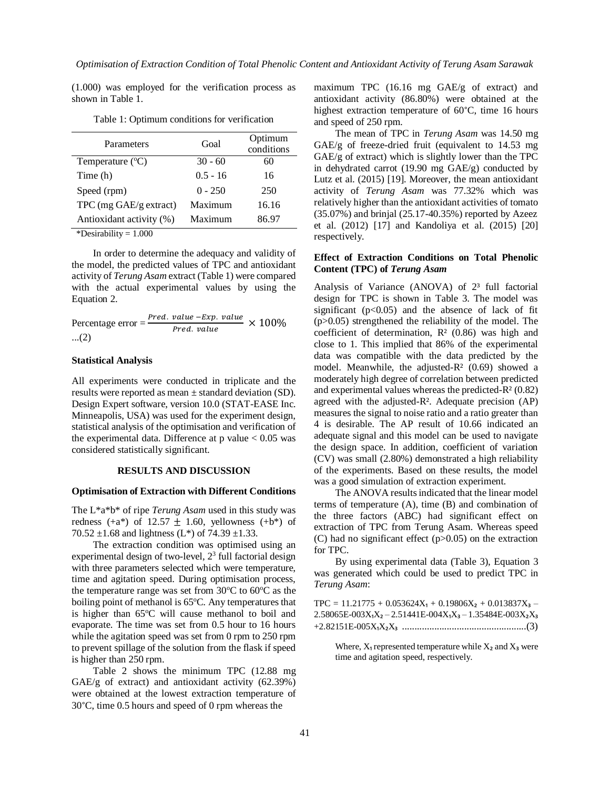(1.000) was employed for the verification process as shown in Table 1.

| Parameters                | Goal       | Optimum    |
|---------------------------|------------|------------|
|                           |            | conditions |
| Temperature $(^{\circ}C)$ | $30 - 60$  | 60         |
| Time (h)                  | $0.5 - 16$ | 16         |
| Speed (rpm)               | $0 - 250$  | 250        |
| TPC (mg GAE/g extract)    | Maximum    | 16.16      |
| Antioxidant activity (%)  | Maximum    | 86.97      |

Table 1: Optimum conditions for verification

\*Desirability  $= 1.000$ 

In order to determine the adequacy and validity of the model, the predicted values of TPC and antioxidant activity of *Terung Asam* extract (Table 1) were compared with the actual experimental values by using the Equation 2.

Percentage error = 
$$
\frac{Pred. value - Exp. value}{Pred. value} \times 100\%
$$
  
...(2)

## **Statistical Analysis**

All experiments were conducted in triplicate and the results were reported as mean ± standard deviation (SD). Design Expert software, version 10.0 (STAT-EASE Inc. Minneapolis, USA) was used for the experiment design, statistical analysis of the optimisation and verification of the experimental data. Difference at  $p$  value  $< 0.05$  was considered statistically significant.

### **RESULTS AND DISCUSSION**

#### **Optimisation of Extraction with Different Conditions**

The L\*a\*b\* of ripe *Terung Asam* used in this study was redness  $(+a^*)$  of 12.57  $\pm$  1.60, yellowness  $(+b^*)$  of 70.52  $\pm$ 1.68 and lightness (L\*) of 74.39  $\pm$ 1.33.

The extraction condition was optimised using an experimental design of two-level,  $2<sup>3</sup>$  full factorial design with three parameters selected which were temperature, time and agitation speed. During optimisation process, the temperature range was set from  $30^{\circ}$ C to  $60^{\circ}$ C as the boiling point of methanol is  $65^{\circ}$ C. Any temperatures that is higher than  $65^{\circ}$ C will cause methanol to boil and evaporate. The time was set from 0.5 hour to 16 hours while the agitation speed was set from 0 rpm to 250 rpm to prevent spillage of the solution from the flask if speed is higher than 250 rpm.

Table 2 shows the minimum TPC (12.88 mg GAE/g of extract) and antioxidant activity (62.39%) were obtained at the lowest extraction temperature of 30°C, time 0.5 hours and speed of 0 rpm whereas the

maximum TPC (16.16 mg GAE/g of extract) and antioxidant activity (86.80%) were obtained at the highest extraction temperature of 60°C, time 16 hours and speed of 250 rpm.

The mean of TPC in *Terung Asam* was 14.50 mg GAE/g of freeze-dried fruit (equivalent to 14.53 mg GAE/g of extract) which is slightly lower than the TPC in dehydrated carrot (19.90 mg GAE/g) conducted by Lutz et al. (2015) [19]. Moreover, the mean antioxidant activity of *Terung Asam* was 77.32% which was relatively higher than the antioxidant activities of tomato (35.07%) and brinjal (25.17-40.35%) reported by Azeez et al. (2012) [17] and Kandoliya et al. (2015) [20] respectively.

# **Effect of Extraction Conditions on Total Phenolic Content (TPC) of** *Terung Asam*

Analysis of Variance (ANOVA) of  $2<sup>3</sup>$  full factorial design for TPC is shown in Table 3. The model was significant  $(p<0.05)$  and the absence of lack of fit (p>0.05) strengthened the reliability of the model. The coefficient of determination,  $R<sup>2</sup>$  (0.86) was high and close to 1. This implied that 86% of the experimental data was compatible with the data predicted by the model. Meanwhile, the adjusted-R² (0.69) showed a moderately high degree of correlation between predicted and experimental values whereas the predicted-R² (0.82) agreed with the adjusted-R². Adequate precision (AP) measures the signal to noise ratio and a ratio greater than 4 is desirable. The AP result of 10.66 indicated an adequate signal and this model can be used to navigate the design space. In addition, coefficient of variation (CV) was small (2.80%) demonstrated a high reliability of the experiments. Based on these results, the model was a good simulation of extraction experiment.

The ANOVA results indicated that the linear model terms of temperature (A), time (B) and combination of the three factors (ABC) had significant effect on extraction of TPC from Terung Asam. Whereas speed (C) had no significant effect  $(p>0.05)$  on the extraction for TPC.

By using experimental data (Table 3), Equation 3 was generated which could be used to predict TPC in *Terung Asam*:

 $TPC = 11.21775 + 0.053624X_1 + 0.19806X_2 + 0.013837X_3 -$ 2.58065E-003X₁X₂ – 2.51441E-004X₁X₃ – 1.35484E-003X₂X₃ +2.82151E-005X₁X₂X₃ ..................................................(3)

Where,  $X_1$  represented temperature while  $X_2$  and  $X_3$  were time and agitation speed, respectively.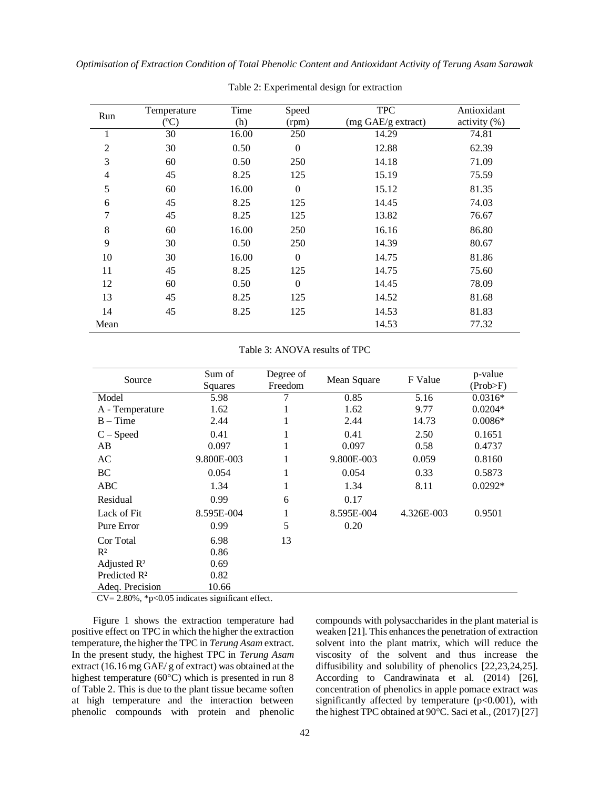|                | Temperature     | Time  | Speed            | <b>TPC</b>         | Antioxidant  |
|----------------|-----------------|-------|------------------|--------------------|--------------|
| Run            | $({}^{\circ}C)$ | (h)   | (rpm)            | (mg GAE/g extract) | activity (%) |
| $\mathbf{1}$   | 30              | 16.00 | 250              | 14.29              | 74.81        |
| $\overline{2}$ | 30              | 0.50  | $\boldsymbol{0}$ | 12.88              | 62.39        |
| 3              | 60              | 0.50  | 250              | 14.18              | 71.09        |
| $\overline{4}$ | 45              | 8.25  | 125              | 15.19              | 75.59        |
| 5              | 60              | 16.00 | $\mathbf{0}$     | 15.12              | 81.35        |
| 6              | 45              | 8.25  | 125              | 14.45              | 74.03        |
| 7              | 45              | 8.25  | 125              | 13.82              | 76.67        |
| 8              | 60              | 16.00 | 250              | 16.16              | 86.80        |
| 9              | 30              | 0.50  | 250              | 14.39              | 80.67        |
| 10             | 30              | 16.00 | $\theta$         | 14.75              | 81.86        |
| 11             | 45              | 8.25  | 125              | 14.75              | 75.60        |
| 12             | 60              | 0.50  | $\boldsymbol{0}$ | 14.45              | 78.09        |
| 13             | 45              | 8.25  | 125              | 14.52              | 81.68        |
| 14             | 45              | 8.25  | 125              | 14.53              | 81.83        |
| Mean           |                 |       |                  | 14.53              | 77.32        |

Table 2: Experimental design for extraction

Table 3: ANOVA results of TPC

| Source                   | Sum of<br>Squares | Degree of<br>Freedom | Mean Square | F Value    | p-value<br>(Prob>F) |
|--------------------------|-------------------|----------------------|-------------|------------|---------------------|
| Model                    | 5.98              |                      | 0.85        | 5.16       | $0.0316*$           |
| A - Temperature          | 1.62              | 1                    | 1.62        | 9.77       | $0.0204*$           |
| $B - Time$               | 2.44              | 1                    | 2.44        | 14.73      | $0.0086*$           |
| $C - Speed$              | 0.41              | 1                    | 0.41        | 2.50       | 0.1651              |
| AB                       | 0.097             | 1                    | 0.097       | 0.58       | 0.4737              |
| AC                       | 9.800E-003        | 1                    | 9.800E-003  | 0.059      | 0.8160              |
| BC                       | 0.054             | $\mathbf{1}$         | 0.054       | 0.33       | 0.5873              |
| <b>ABC</b>               | 1.34              | 1                    | 1.34        | 8.11       | $0.0292*$           |
| Residual                 | 0.99              | 6                    | 0.17        |            |                     |
| Lack of Fit              | 8.595E-004        | $\mathbf{1}$         | 8.595E-004  | 4.326E-003 | 0.9501              |
| Pure Error               | 0.99              | 5                    | 0.20        |            |                     |
| Cor Total                | 6.98              | 13                   |             |            |                     |
| $R^2$                    | 0.86              |                      |             |            |                     |
| Adjusted R <sup>2</sup>  | 0.69              |                      |             |            |                     |
| Predicted R <sup>2</sup> | 0.82              |                      |             |            |                     |
| Adeq. Precision          | 10.66             |                      |             |            |                     |

 $CV = 2.80\%, *p < 0.05$  indicates significant effect.

Figure 1 shows the extraction temperature had positive effect on TPC in which the higher the extraction temperature, the higher the TPC in *Terung Asam* extract. In the present study, the highest TPC in *Terung Asam* extract (16.16 mg GAE/ g of extract) was obtained at the highest temperature (60°C) which is presented in run 8 of Table 2. This is due to the plant tissue became soften at high temperature and the interaction between phenolic compounds with protein and phenolic

compounds with polysaccharides in the plant material is weaken [21]. This enhances the penetration of extraction solvent into the plant matrix, which will reduce the viscosity of the solvent and thus increase the diffusibility and solubility of phenolics [22,23,24,25]. According to Candrawinata et al. (2014) [26], concentration of phenolics in apple pomace extract was significantly affected by temperature  $(p<0.001)$ , with the highest TPC obtained at 90°C. Saci et al., (2017) [27]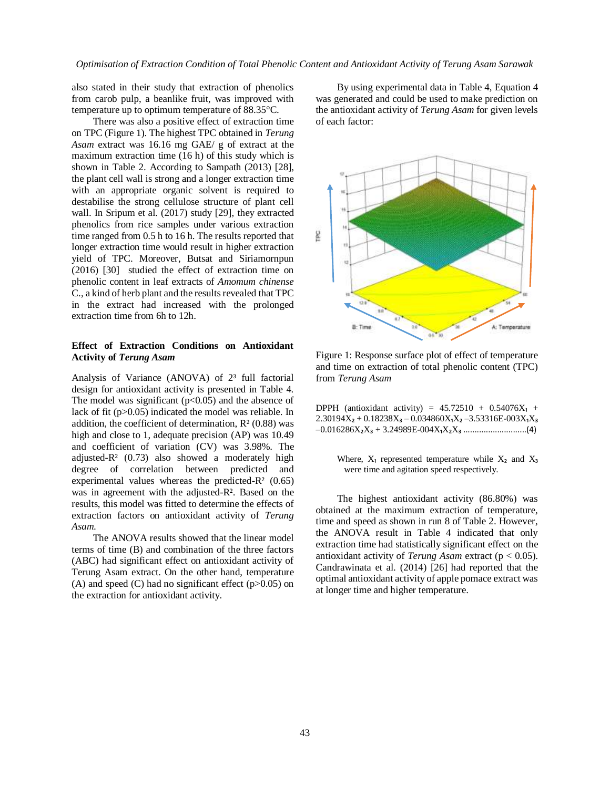also stated in their study that extraction of phenolics from carob pulp, a beanlike fruit, was improved with temperature up to optimum temperature of 88.35°C.

There was also a positive effect of extraction time on TPC (Figure 1). The highest TPC obtained in *Terung Asam* extract was 16.16 mg GAE/ g of extract at the maximum extraction time (16 h) of this study which is shown in Table 2. According to Sampath (2013) [28], the plant cell wall is strong and a longer extraction time with an appropriate organic solvent is required to destabilise the strong cellulose structure of plant cell wall. In Sripum et al. (2017) study [29], they extracted phenolics from rice samples under various extraction time ranged from 0.5 h to 16 h. The results reported that longer extraction time would result in higher extraction yield of TPC. Moreover, Butsat and Siriamornpun (2016) [30] studied the effect of extraction time on phenolic content in leaf extracts of *Amomum chinense* C., a kind of herb plant and the results revealed that TPC in the extract had increased with the prolonged extraction time from 6h to 12h.

# **Effect of Extraction Conditions on Antioxidant Activity of** *Terung Asam*

Analysis of Variance (ANOVA) of  $2<sup>3</sup>$  full factorial design for antioxidant activity is presented in Table 4. The model was significant  $(p<0.05)$  and the absence of lack of fit (p>0.05) indicated the model was reliable. In addition, the coefficient of determination,  $R<sup>2</sup>$  (0.88) was high and close to 1, adequate precision (AP) was 10.49 and coefficient of variation (CV) was 3.98%. The adjusted-R² (0.73) also showed a moderately high degree of correlation between predicted and experimental values whereas the predicted- $R<sup>2</sup>$  (0.65) was in agreement with the adjusted-R². Based on the results, this model was fitted to determine the effects of extraction factors on antioxidant activity of *Terung Asam.*

The ANOVA results showed that the linear model terms of time (B) and combination of the three factors (ABC) had significant effect on antioxidant activity of Terung Asam extract. On the other hand, temperature (A) and speed (C) had no significant effect ( $p > 0.05$ ) on the extraction for antioxidant activity.

By using experimental data in Table 4, Equation 4 was generated and could be used to make prediction on the antioxidant activity of *Terung Asam* for given levels of each factor:



Figure 1: Response surface plot of effect of temperature and time on extraction of total phenolic content (TPC) from *Terung Asam*

| DPPH (antioxidant activity) = $45.72510 + 0.54076X_1 +$           |  |  |  |
|-------------------------------------------------------------------|--|--|--|
| $2.30194X_2 + 0.18238X_3 - 0.034860X_1X_2 - 3.53316E - 003X_1X_3$ |  |  |  |
|                                                                   |  |  |  |

Where,  $X_1$  represented temperature while  $X_2$  and  $X_3$ were time and agitation speed respectively.

The highest antioxidant activity (86.80%) was obtained at the maximum extraction of temperature, time and speed as shown in run 8 of Table 2. However, the ANOVA result in Table 4 indicated that only extraction time had statistically significant effect on the antioxidant activity of *Terung Asam* extract (p < 0.05). Candrawinata et al. (2014) [26] had reported that the optimal antioxidant activity of apple pomace extract was at longer time and higher temperature.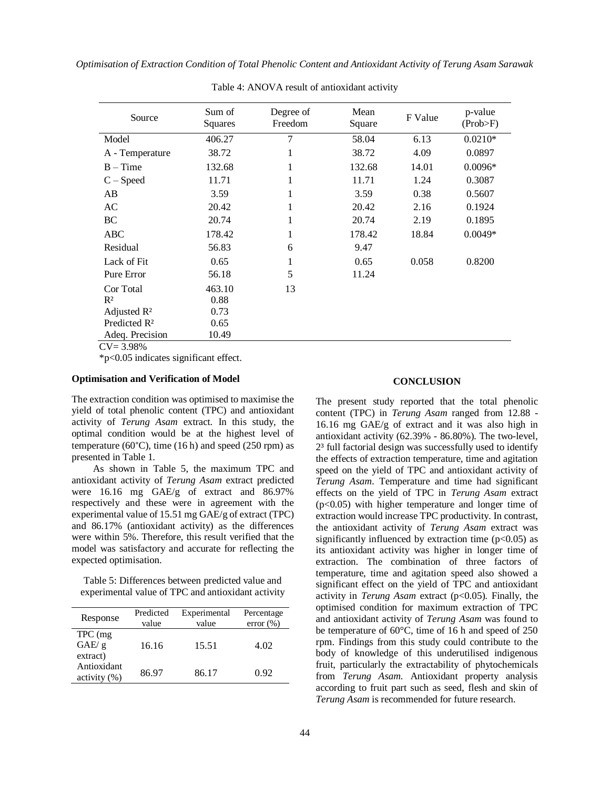| Source                              | Sum of<br>Squares | Degree of<br>Freedom | Mean<br>Square | F Value | p-value<br>(Prob>F) |
|-------------------------------------|-------------------|----------------------|----------------|---------|---------------------|
| Model                               | 406.27            | 7                    | 58.04          | 6.13    | $0.0210*$           |
| A - Temperature                     | 38.72             | 1                    | 38.72          | 4.09    | 0.0897              |
| $B - Time$                          | 132.68            | 1                    | 132.68         | 14.01   | $0.0096*$           |
| $C - Speed$                         | 11.71             | 1                    | 11.71          | 1.24    | 0.3087              |
| AB                                  | 3.59              | 1                    | 3.59           | 0.38    | 0.5607              |
| AC                                  | 20.42             | 1                    | 20.42          | 2.16    | 0.1924              |
| BC                                  | 20.74             | 1                    | 20.74          | 2.19    | 0.1895              |
| ABC                                 | 178.42            | 1                    | 178.42         | 18.84   | $0.0049*$           |
| Residual                            | 56.83             | 6                    | 9.47           |         |                     |
| Lack of Fit                         | 0.65              | 1                    | 0.65           | 0.058   | 0.8200              |
| Pure Error                          | 56.18             | 5                    | 11.24          |         |                     |
| Cor Total                           | 463.10            | 13                   |                |         |                     |
| $R^2$                               | 0.88              |                      |                |         |                     |
| Adjusted $\mathbb{R}^2$             | 0.73              |                      |                |         |                     |
| Predicted R <sup>2</sup>            | 0.65              |                      |                |         |                     |
| Adeq. Precision<br>$\alpha$<br>2000 | 10.49             |                      |                |         |                     |

Table 4: ANOVA result of antioxidant activity

 $CV = 3.98\%$ 

\*p<0.05 indicates significant effect.

# **Optimisation and Verification of Model**

The extraction condition was optimised to maximise the yield of total phenolic content (TPC) and antioxidant activity of *Terung Asam* extract. In this study, the optimal condition would be at the highest level of temperature (60 $^{\circ}$ C), time (16 h) and speed (250 rpm) as presented in Table 1.

As shown in Table 5, the maximum TPC and antioxidant activity of *Terung Asam* extract predicted were 16.16 mg GAE/g of extract and 86.97% respectively and these were in agreement with the experimental value of 15.51 mg GAE/g of extract (TPC) and 86.17% (antioxidant activity) as the differences were within 5%. Therefore, this result verified that the model was satisfactory and accurate for reflecting the expected optimisation.

Table 5: Differences between predicted value and experimental value of TPC and antioxidant activity

| Response                      | Predicted<br>value | Experimental<br>value | Percentage<br>$error (\% )$ |
|-------------------------------|--------------------|-----------------------|-----------------------------|
| TPC (mg)<br>GAE/g<br>extract) | 16.16              | 15.51                 | 4.02                        |
| Antioxidant<br>$\arcsin(y(%)$ | 86.97              | 86.17                 | 0.92                        |

#### **CONCLUSION**

The present study reported that the total phenolic content (TPC) in *Terung Asam* ranged from 12.88 - 16.16 mg GAE/g of extract and it was also high in antioxidant activity (62.39% - 86.80%). The two-level, 2³ full factorial design was successfully used to identify the effects of extraction temperature, time and agitation speed on the yield of TPC and antioxidant activity of *Terung Asam*. Temperature and time had significant effects on the yield of TPC in *Terung Asam* extract  $(p<0.05)$  with higher temperature and longer time of extraction would increase TPC productivity. In contrast, the antioxidant activity of *Terung Asam* extract was significantly influenced by extraction time  $(p<0.05)$  as its antioxidant activity was higher in longer time of extraction. The combination of three factors of temperature, time and agitation speed also showed a significant effect on the yield of TPC and antioxidant activity in *Terung Asam* extract (p<0.05). Finally, the optimised condition for maximum extraction of TPC and antioxidant activity of *Terung Asam* was found to be temperature of 60°C, time of 16 h and speed of 250 rpm. Findings from this study could contribute to the body of knowledge of this underutilised indigenous fruit, particularly the extractability of phytochemicals from *Terung Asam*. Antioxidant property analysis according to fruit part such as seed, flesh and skin of *Terung Asam* is recommended for future research.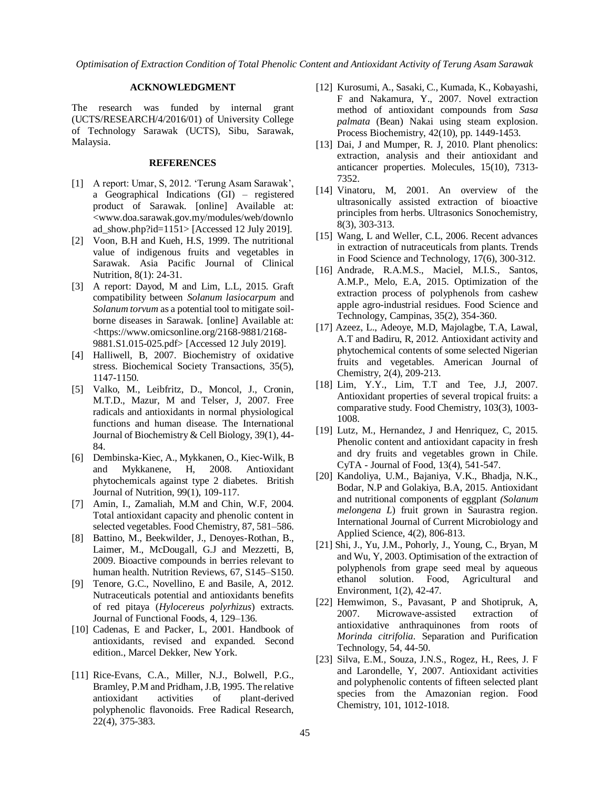# **ACKNOWLEDGMENT**

The research was funded by internal grant (UCTS/RESEARCH/4/2016/01) of University College of Technology Sarawak (UCTS), Sibu, Sarawak, Malaysia.

# **REFERENCES**

- [1] A report: Umar, S, 2012. 'Terung Asam Sarawak', a Geographical Indications (GI) – registered product of Sarawak. [online] Available at: <www.doa.sarawak.gov.my/modules/web/downlo ad\_show.php?id=1151> [Accessed 12 July 2019].
- [2] Voon, B.H and Kueh, H.S, 1999. The nutritional value of indigenous fruits and vegetables in Sarawak. Asia Pacific Journal of Clinical Nutrition, 8(1): 24-31.
- [3] A report: Davod, M and Lim, L.L, 2015. Graft compatibility between *Solanum lasiocarpum* and *Solanum torvum* as a potential tool to mitigate soilborne diseases in Sarawak. [online] Available at: <https://www.omicsonline.org/2168-9881/2168- 9881.S1.015-025.pdf> [Accessed 12 July 2019].
- [4] Halliwell, B, 2007. Biochemistry of oxidative stress. Biochemical Society Transactions, 35(5), 1147-1150.
- [5] Valko, M., Leibfritz, D., Moncol, J., Cronin, M.T.D., Mazur, M and Telser, J, 2007. Free radicals and antioxidants in normal physiological functions and human disease. The International Journal of Biochemistry & Cell Biology, 39(1), 44- 84.
- [6] Dembinska-Kiec, A., Mykkanen, O., Kiec-Wilk, B and Mykkanene, H, 2008. Antioxidant phytochemicals against type 2 diabetes. British Journal of Nutrition, 99(1), 109-117.
- [7] Amin, I., Zamaliah, M.M and Chin, W.F, 2004. Total antioxidant capacity and phenolic content in selected vegetables. Food Chemistry, 87, 581–586.
- [8] Battino, M., Beekwilder, J., Denoyes-Rothan, B., Laimer, M., McDougall, G.J and Mezzetti, B, 2009. Bioactive compounds in berries relevant to human health. Nutrition Reviews, 67, S145–S150.
- [9] Tenore, G.C., Novellino, E and Basile, A, 2012. Nutraceuticals potential and antioxidants benefits of red pitaya (*Hylocereus polyrhizus*) extracts. Journal of Functional Foods, 4, 129–136.
- [10] Cadenas, E and Packer, L, 2001. Handbook of antioxidants, revised and expanded. Second edition., Marcel Dekker, New York.
- [11] Rice-Evans, C.A., Miller, N.J., Bolwell, P.G., Bramley, P.M and Pridham, J.B, 1995. The relative antioxidant activities of plant-derived polyphenolic flavonoids. Free Radical Research, 22(4), 375-383.
- [12] Kurosumi, A., Sasaki, C., Kumada, K., Kobayashi, F and Nakamura, Y., 2007. Novel extraction method of antioxidant compounds from *Sasa palmata* (Bean) Nakai using steam explosion. Process Biochemistry, 42(10), pp. 1449-1453.
- [13] Dai, J and Mumper, R. J. 2010. Plant phenolics: extraction, analysis and their antioxidant and anticancer properties. Molecules, 15(10), 7313- 7352.
- [14] Vinatoru, M, 2001. An overview of the ultrasonically assisted extraction of bioactive principles from herbs. Ultrasonics Sonochemistry, 8(3), 303-313.
- [15] Wang, L and Weller, C.L, 2006. Recent advances in extraction of nutraceuticals from plants. Trends in Food Science and Technology, 17(6), 300-312.
- [16] Andrade, R.A.M.S., Maciel, M.I.S., Santos, A.M.P., Melo, E.A, 2015. Optimization of the extraction process of polyphenols from cashew apple agro-industrial residues. Food Science and Technology, Campinas, 35(2), 354-360.
- [17] Azeez, L., Adeoye, M.D, Majolagbe, T.A, Lawal, A.T and Badiru, R, 2012. Antioxidant activity and phytochemical contents of some selected Nigerian fruits and vegetables. American Journal of Chemistry, 2(4), 209-213.
- [18] Lim, Y.Y., Lim, T.T and Tee, J.J, 2007. Antioxidant properties of several tropical fruits: a comparative study. Food Chemistry, 103(3), 1003- 1008.
- [19] Lutz, M., Hernandez, J and Henriquez, C, 2015. Phenolic content and antioxidant capacity in fresh and dry fruits and vegetables grown in Chile. CyTA - Journal of Food, 13(4), 541-547.
- [20] Kandoliya, U.M., Bajaniya, V.K., Bhadja, N.K., Bodar, N.P and Golakiya, B.A, 2015. Antioxidant and nutritional components of eggplant *(Solanum melongena L*) fruit grown in Saurastra region. International Journal of Current Microbiology and Applied Science, 4(2), 806-813.
- [21] Shi, J., Yu, J.M., Pohorly, J., Young, C., Bryan, M and Wu, Y, 2003. Optimisation of the extraction of polyphenols from grape seed meal by aqueous ethanol solution. Food, Agricultural and Environment, 1(2), 42-47.
- [22] Hemwimon, S., Pavasant, P and Shotipruk, A, 2007. Microwave-assisted extraction of antioxidative anthraquinones from roots of *Morinda citrifolia*. Separation and Purification Technology, 54, 44-50.
- [23] Silva, E.M., Souza, J.N.S., Rogez, H., Rees, J. F and Larondelle, Y, 2007. Antioxidant activities and polyphenolic contents of fifteen selected plant species from the Amazonian region. Food Chemistry, 101, 1012-1018.